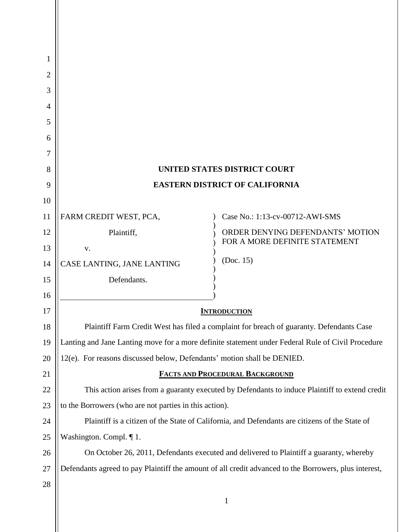| 1  |                                                                                                       |                                                                   |
|----|-------------------------------------------------------------------------------------------------------|-------------------------------------------------------------------|
| 2  |                                                                                                       |                                                                   |
| 3  |                                                                                                       |                                                                   |
| 4  |                                                                                                       |                                                                   |
| 5  |                                                                                                       |                                                                   |
| 6  |                                                                                                       |                                                                   |
| 7  |                                                                                                       |                                                                   |
| 8  | UNITED STATES DISTRICT COURT                                                                          |                                                                   |
| 9  | <b>EASTERN DISTRICT OF CALIFORNIA</b>                                                                 |                                                                   |
| 10 |                                                                                                       |                                                                   |
| 11 | FARM CREDIT WEST, PCA,                                                                                | Case No.: 1:13-cv-00712-AWI-SMS                                   |
| 12 | Plaintiff,                                                                                            | ORDER DENYING DEFENDANTS' MOTION<br>FOR A MORE DEFINITE STATEMENT |
| 13 | V.                                                                                                    |                                                                   |
| 14 | CASE LANTING, JANE LANTING                                                                            | (Doc. 15)                                                         |
| 15 | Defendants.                                                                                           |                                                                   |
| 16 |                                                                                                       |                                                                   |
| 17 | <b>INTRODUCTION</b>                                                                                   |                                                                   |
| 18 | Plaintiff Farm Credit West has filed a complaint for breach of guaranty. Defendants Case              |                                                                   |
| 19 | Lanting and Jane Lanting move for a more definite statement under Federal Rule of Civil Procedure     |                                                                   |
| 20 | 12(e). For reasons discussed below, Defendants' motion shall be DENIED.                               |                                                                   |
| 21 | <b>FACTS AND PROCEDURAL BACKGROUND</b>                                                                |                                                                   |
| 22 | This action arises from a guaranty executed by Defendants to induce Plaintiff to extend credit        |                                                                   |
| 23 | to the Borrowers (who are not parties in this action).                                                |                                                                   |
| 24 | Plaintiff is a citizen of the State of California, and Defendants are citizens of the State of        |                                                                   |
| 25 | Washington. Compl. ¶ 1.                                                                               |                                                                   |
| 26 | On October 26, 2011, Defendants executed and delivered to Plaintiff a guaranty, whereby               |                                                                   |
| 27 | Defendants agreed to pay Plaintiff the amount of all credit advanced to the Borrowers, plus interest, |                                                                   |
| 28 |                                                                                                       |                                                                   |
|    |                                                                                                       | 1                                                                 |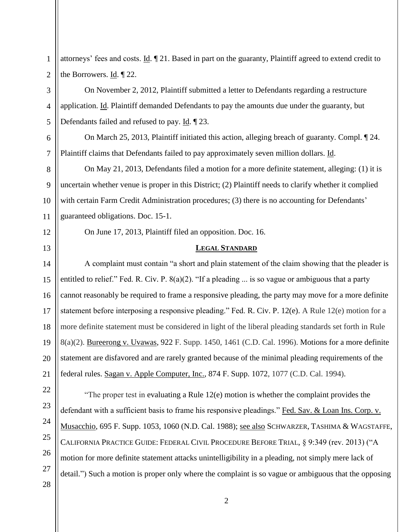1 2 attorneys' fees and costs. Id. ¶ 21. Based in part on the guaranty, Plaintiff agreed to extend credit to the Borrowers. Id. ¶ 22.

On November 2, 2012, Plaintiff submitted a letter to Defendants regarding a restructure application. Id. Plaintiff demanded Defendants to pay the amounts due under the guaranty, but Defendants failed and refused to pay. Id. ¶ 23.

On March 25, 2013, Plaintiff initiated this action, alleging breach of guaranty. Compl. ¶ 24. Plaintiff claims that Defendants failed to pay approximately seven million dollars. Id.

8 9 10 On May 21, 2013, Defendants filed a motion for a more definite statement, alleging: (1) it is uncertain whether venue is proper in this District; (2) Plaintiff needs to clarify whether it complied with certain Farm Credit Administration procedures; (3) there is no accounting for Defendants' guaranteed obligations. Doc. 15-1.

12 13

11

3

4

5

6

7

On June 17, 2013, Plaintiff filed an opposition. Doc. 16.

## **LEGAL STANDARD**

14 15 16 17 A complaint must contain "a short and plain statement of the claim showing that the pleader is entitled to relief." Fed. R. Civ. P. 8(a)(2). "If a pleading ... is so vague or ambiguous that a party cannot reasonably be required to frame a responsive pleading, the party may move for a more definite statement before interposing a responsive pleading." Fed. R. Civ. P. 12(e). A Rule 12(e) motion for a more definite statement must be considered in light of the liberal pleading standards set forth in Rule 8(a)(2). Bureerong v. Uvawas, 922 F. Supp. 1450, 1461 (C.D. Cal. 1996). Motions for a more definite statement are disfavored and are rarely granted because of the minimal pleading requirements of the federal rules. Sagan v. Apple Computer, Inc., 874 F. Supp. 1072, 1077 (C.D. Cal. 1994).

"The proper test in evaluating a Rule 12(e) motion is whether the complaint provides the defendant with a sufficient basis to frame his responsive pleadings." Fed. Sav. & Loan Ins. Corp. v. Musacchio, 695 F. Supp. 1053, 1060 (N.D. Cal. 1988); see also SCHWARZER, TASHIMA & WAGSTAFFE, CALIFORNIA PRACTICE GUIDE: FEDERAL CIVIL PROCEDURE BEFORE TRIAL, § 9:349 (rev. 2013) ("A motion for more definite statement attacks unintelligibility in a pleading, not simply mere lack of detail.") Such a motion is proper only where the complaint is so vague or ambiguous that the opposing

2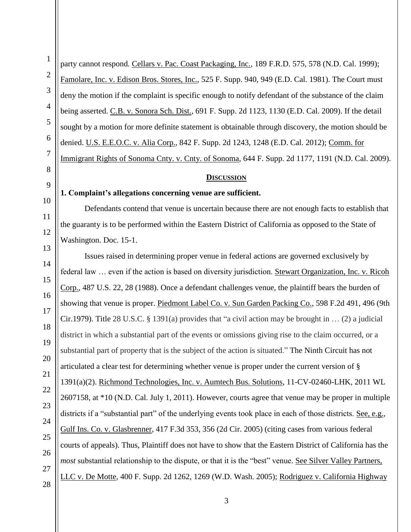1 2 3 4 5 6 7 8 9 10 11 12 13 14 15 16 17 18 19 20 21 22 23 24 25 26 27 28 party cannot respond. Cellars v. Pac. Coast Packaging, Inc., 189 F.R.D. 575, 578 (N.D. Cal. 1999); Famolare, Inc. v. Edison Bros. Stores, Inc., 525 F. Supp. 940, 949 (E.D. Cal. 1981). The Court must deny the motion if the complaint is specific enough to notify defendant of the substance of the claim being asserted. C.B. v. Sonora Sch. Dist., 691 F. Supp. 2d 1123, 1130 (E.D. Cal. 2009). If the detail sought by a motion for more definite statement is obtainable through discovery, the motion should be denied. U.S. E.E.O.C. v. Alia Corp., 842 F. Supp. 2d 1243, 1248 (E.D. Cal. 2012); Comm. for Immigrant Rights of Sonoma Cnty. v. Cnty. of Sonoma, 644 F. Supp. 2d 1177, 1191 (N.D. Cal. 2009). **1. Complaint's allegations concerning venue are sufficient.** Defendants contend that venue is uncertain because there are not enough facts to establish that the guaranty is to be performed within the Eastern District of California as opposed to the State of Washington. Doc. 15-1. Issues raised in determining proper venue in federal actions are governed exclusively by federal law … even if the action is based on diversity jurisdiction. Stewart Organization, Inc. v. Ricoh Corp., 487 U.S. 22, 28 (1988). Once a defendant challenges venue, the plaintiff bears the burden of showing that venue is proper. Piedmont Label Co. v. Sun Garden Packing Co., 598 F.2d 491, 496 (9th Cir.1979). Title 28 U.S.C. § 1391(a) provides that "a civil action may be brought in … (2) a judicial district in which a substantial part of the events or omissions giving rise to the claim occurred, or a substantial part of property that is the subject of the action is situated." The Ninth Circuit has not articulated a clear test for determining whether venue is proper under the current version of § 1391(a)(2). Richmond Technologies, Inc. v. Aumtech Bus. Solutions, 11-CV-02460-LHK, 2011 WL 2607158, at \*10 (N.D. Cal. July 1, 2011). However, courts agree that venue may be proper in multiple districts if a "substantial part" of the underlying events took place in each of those districts. See, e.g., Gulf Ins. Co. v. Glasbrenner, 417 F.3d 353, 356 (2d Cir. 2005) (citing cases from various federal courts of appeals). Thus, Plaintiff does not have to show that the Eastern District of California has the *most* substantial relationship to the dispute, or that it is the "best" venue. See Silver Valley Partners, LLC v. De Motte, 400 F. Supp. 2d 1262, 1269 (W.D. Wash. 2005); Rodriguez v. California Highway

3

**DISCUSSION**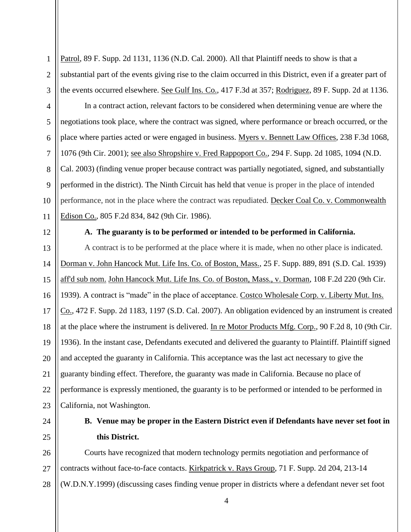1 2 3 Patrol, 89 F. Supp. 2d 1131, 1136 (N.D. Cal. 2000). All that Plaintiff needs to show is that a substantial part of the events giving rise to the claim occurred in this District, even if a greater part of the events occurred elsewhere. See Gulf Ins. Co., 417 F.3d at 357; Rodriguez, 89 F. Supp. 2d at 1136.

8 10 In a contract action, relevant factors to be considered when determining venue are where the negotiations took place, where the contract was signed, where performance or breach occurred, or the place where parties acted or were engaged in business. Myers v. Bennett Law Offices, 238 F.3d 1068, 1076 (9th Cir. 2001); see also Shropshire v. Fred Rappoport Co., 294 F. Supp. 2d 1085, 1094 (N.D. Cal. 2003) (finding venue proper because contract was partially negotiated, signed, and substantially performed in the district). The Ninth Circuit has held that venue is proper in the place of intended performance, not in the place where the contract was repudiated. Decker Coal Co. v. Commonwealth Edison Co., 805 F.2d 834, 842 (9th Cir. 1986).

12

11

4

5

6

7

9

## **A. The guaranty is to be performed or intended to be performed in California.**

13 14 15 16 17 18 19 20 21 22 23 A contract is to be performed at the place where it is made, when no other place is indicated. Dorman v. John Hancock Mut. Life Ins. Co. of Boston, Mass., 25 F. Supp. 889, 891 (S.D. Cal. 1939) aff'd sub nom. John Hancock Mut. Life Ins. Co. of Boston, Mass., v. Dorman, 108 F.2d 220 (9th Cir. 1939). A contract is "made" in the place of acceptance. Costco Wholesale Corp. v. Liberty Mut. Ins. Co., 472 F. Supp. 2d 1183, 1197 (S.D. Cal. 2007). An obligation evidenced by an instrument is created at the place where the instrument is delivered. In re Motor Products Mfg. Corp., 90 F.2d 8, 10 (9th Cir. 1936). In the instant case, Defendants executed and delivered the guaranty to Plaintiff. Plaintiff signed and accepted the guaranty in California. This acceptance was the last act necessary to give the guaranty binding effect. Therefore, the guaranty was made in California. Because no place of performance is expressly mentioned, the guaranty is to be performed or intended to be performed in California, not Washington.

24 25

# **B. Venue may be proper in the Eastern District even if Defendants have never set foot in this District.**

26 27 28 Courts have recognized that modern technology permits negotiation and performance of contracts without face-to-face contacts. Kirkpatrick v. Rays Group, 71 F. Supp. 2d 204, 213-14 (W.D.N.Y.1999) (discussing cases finding venue proper in districts where a defendant never set foot

4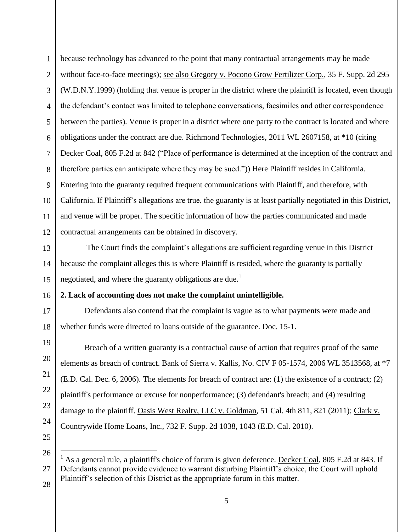1 2 3 4 5 6 7 8 9 10 11 12 because technology has advanced to the point that many contractual arrangements may be made without face-to-face meetings); see also Gregory v. Pocono Grow Fertilizer Corp., 35 F. Supp. 2d 295 (W.D.N.Y.1999) (holding that venue is proper in the district where the plaintiff is located, even though the defendant's contact was limited to telephone conversations, facsimiles and other correspondence between the parties). Venue is proper in a district where one party to the contract is located and where obligations under the contract are due. Richmond Technologies, 2011 WL 2607158, at \*10 (citing Decker Coal, 805 F.2d at 842 ("Place of performance is determined at the inception of the contract and therefore parties can anticipate where they may be sued.")) Here Plaintiff resides in California. Entering into the guaranty required frequent communications with Plaintiff, and therefore, with California. If Plaintiff's allegations are true, the guaranty is at least partially negotiated in this District, and venue will be proper. The specific information of how the parties communicated and made contractual arrangements can be obtained in discovery.

13 14 15 The Court finds the complaint's allegations are sufficient regarding venue in this District because the complaint alleges this is where Plaintiff is resided, where the guaranty is partially negotiated, and where the guaranty obligations are due.<sup>1</sup>

#### 16 **2. Lack of accounting does not make the complaint unintelligible.**

18 Defendants also contend that the complaint is vague as to what payments were made and whether funds were directed to loans outside of the guarantee. Doc. 15-1.

Breach of a written guaranty is a contractual cause of action that requires proof of the same elements as breach of contract. Bank of Sierra v. Kallis, No. CIV F 05-1574, 2006 WL 3513568, at \*7 (E.D. Cal. Dec. 6, 2006). The elements for breach of contract are: (1) the existence of a contract; (2) plaintiff's performance or excuse for nonperformance; (3) defendant's breach; and (4) resulting damage to the plaintiff. Oasis West Realty, LLC v. Goldman, 51 Cal. 4th 811, 821 (2011); Clark v. Countrywide Home Loans, Inc., 732 F. Supp. 2d 1038, 1043 (E.D. Cal. 2010).

 $\overline{a}$ 

28

17

19

20

21

22

23

 $1$  As a general rule, a plaintiff's choice of forum is given deference. Decker Coal, 805 F.2d at 843. If Defendants cannot provide evidence to warrant disturbing Plaintiff's choice, the Court will uphold Plaintiff's selection of this District as the appropriate forum in this matter.